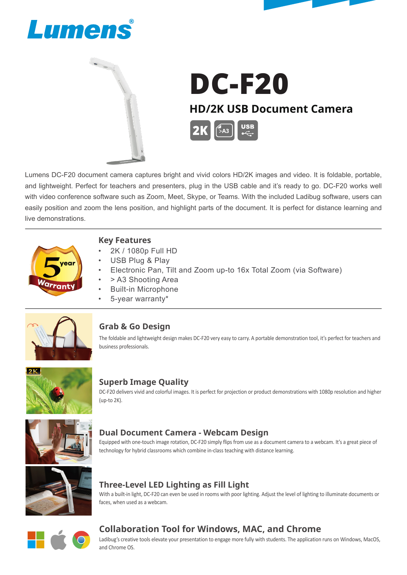





# DC-F20 **HD/2K USB Document Camera**   $\sim$ A3

Lumens DC-F20 document camera captures bright and vivid colors HD/2K images and video. It is foldable, portable, and lightweight. Perfect for teachers and presenters, plug in the USB cable and it's ready to go. DC-F20 works well with video conference software such as Zoom, Meet, Skype, or Teams. With the included Ladibug software, users can easily position and zoom the lens position, and highlight parts of the document. It is perfect for distance learning and live demonstrations.



#### **Key Features**

- 2K / 1080p Full HD
- USB Plug & Play
- Electronic Pan, Tilt and Zoom up-to 16x Total Zoom (via Software)
- > A3 Shooting Area
- Built-in Microphone
- 5-year warranty\*



#### **Grab & Go Design**

The foldable and lightweight design makes DC-F20 very easy to carry. A portable demonstration tool, it's perfect for teachers and business professionals.



#### **Superb Image Quality**

DC-F20 delivers vivid and colorful images. It is perfect for projection or product demonstrations with 1080p resolution and higher (up-to 2K).



#### **Dual Document Camera - Webcam Design**

Equipped with one-touch image rotation, DC-F20 simply flips from use as a document camera to a webcam. It's a great piece of technology for hybrid classrooms which combine in-class teaching with distance learning.



### **Three-Level LED Lighting as Fill Light**

With a built-in light, DC-F20 can even be used in rooms with poor lighting. Adjust the level of lighting to illuminate documents or faces, when used as a webcam.



### **Collaboration Tool for Windows, MAC, and Chrome**

Ladibug's creative tools elevate your presentation to engage more fully with students. The application runs on Windows, MacOS, and Chrome OS.